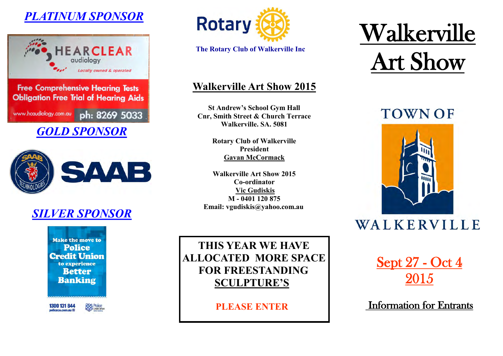## *PLATINUM SPONSOR*



**Obligation Free Trial of Hearing Aids** www.hcaudiology.com.au ph: 8269 5033

*GOLD SPONSOR*



## *SILVER SPONSOR*

**Make the move to Police Credit Union** to experience **Better Banking** 

1300 131 844 policecu.com.au El

**POST Police** 



**The Rotary Club of Walkerville Inc**

### **Walkerville Art Show 2015**

**St Andrew's School Gym Hall Cnr, Smith Street & Church Terrace Walkerville. SA. 5081**

> **Rotary Club of Walkerville President Gavan McCormack**

**Walkerville Art Show 2015 Co-ordinator Vic Gudiskis M - 0401 120 875 Email: vgudiskis@yahoo.com.au** 

 **THIS YEAR WE HAVE ALLOCATED MORE SPACE FOR FREESTANDING SCULPTURE'S**

 **PLEASE ENTER**

# Walkerville Art Show

## **TOWN OF**



## WALKERVILLE

Sept 27 - Oct 4 2015

Information for Entrants